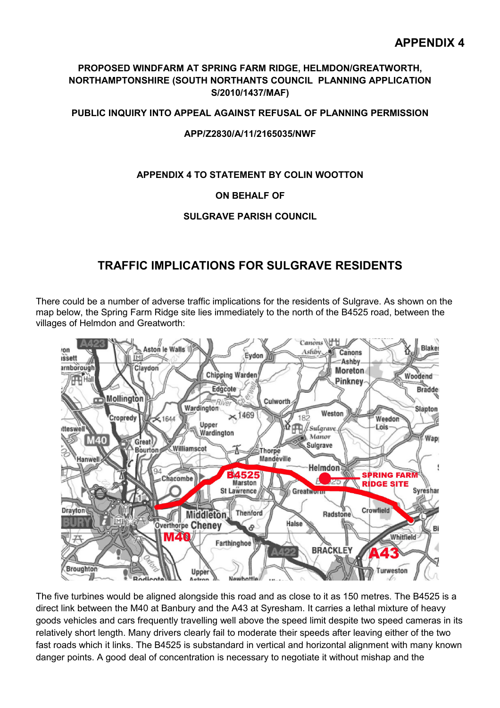## **PROPOSED WINDFARM AT SPRING FARM RIDGE, HELMDON/GREATWORTH, NORTHAMPTONSHIRE (SOUTH NORTHANTS COUNCIL PLANNING APPLICATION S/2010/1437/MAF)**

**PUBLIC INQUIRY INTO APPEAL AGAINST REFUSAL OF PLANNING PERMISSION**

#### **APP/Z2830/A/11/2165035/NWF**

## **APPENDIX 4 TO STATEMENT BY COLIN WOOTTON**

## **ON BEHALF OF**

## **SULGRAVE PARISH COUNCIL**

# **TRAFFIC IMPLICATIONS FOR SULGRAVE RESIDENTS**

There could be a number of adverse traffic implications for the residents of Sulgrave. As shown on the map below, the Spring Farm Ridge site lies immediately to the north of the B4525 road, between the villages of Helmdon and Greatworth:



The five turbines would be aligned alongside this road and as close to it as 150 metres. The B4525 is a direct link between the M40 at Banbury and the A43 at Syresham. It carries a lethal mixture of heavy goods vehicles and cars frequently travelling well above the speed limit despite two speed cameras in its relatively short length. Many drivers clearly fail to moderate their speeds after leaving either of the two fast roads which it links. The B4525 is substandard in vertical and horizontal alignment with many known danger points. A good deal of concentration is necessary to negotiate it without mishap and the